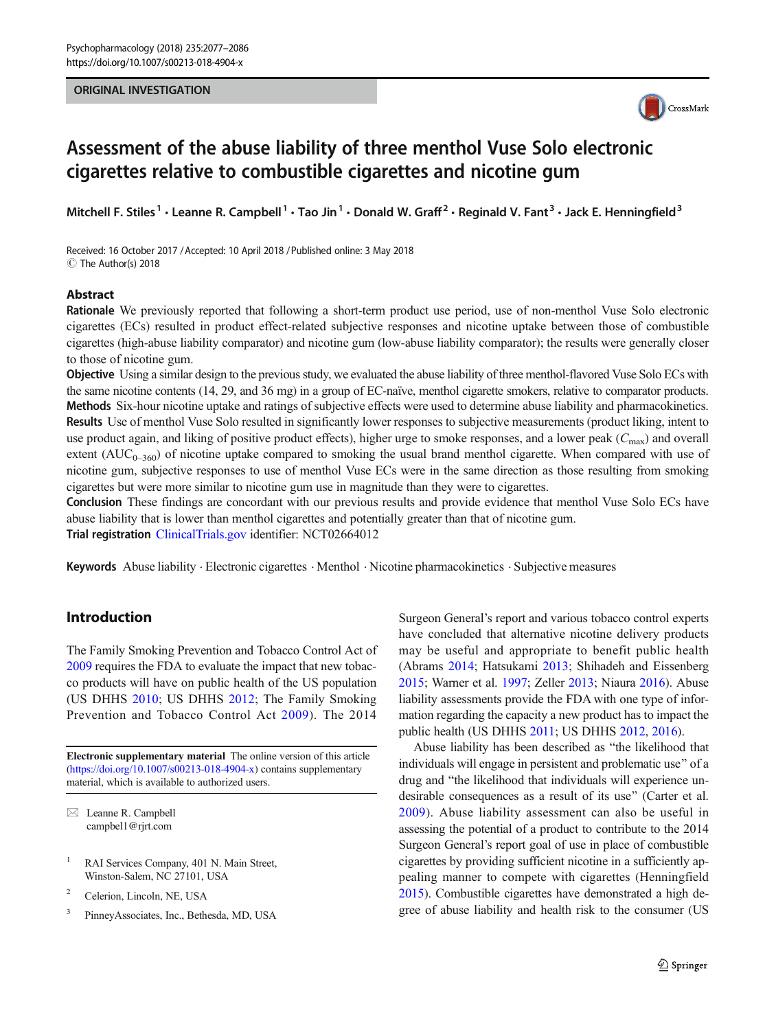## ORIGINAL INVESTIGATION



# Assessment of the abuse liability of three menthol Vuse Solo electronic cigarettes relative to combustible cigarettes and nicotine gum

Mitchell F. Stiles<sup>1</sup> • Leanne R. Campbell<sup>1</sup> • Tao Jin<sup>1</sup> • Donald W. Graff<sup>2</sup> • Reginald V. Fant<sup>3</sup> • Jack E. Henningfield<sup>3</sup>

Received: 16 October 2017 /Accepted: 10 April 2018 /Published online: 3 May 2018 C The Author(s) 2018

# Abstract

Rationale We previously reported that following a short-term product use period, use of non-menthol Vuse Solo electronic cigarettes (ECs) resulted in product effect-related subjective responses and nicotine uptake between those of combustible cigarettes (high-abuse liability comparator) and nicotine gum (low-abuse liability comparator); the results were generally closer to those of nicotine gum.

Objective Using a similar design to the previous study, we evaluated the abuse liability of three menthol-flavored Vuse Solo ECs with the same nicotine contents (14, 29, and 36 mg) in a group of EC-naïve, menthol cigarette smokers, relative to comparator products. Methods Six-hour nicotine uptake and ratings of subjective effects were used to determine abuse liability and pharmacokinetics. Results Use of menthol Vuse Solo resulted in significantly lower responses to subjective measurements (product liking, intent to use product again, and liking of positive product effects), higher urge to smoke responses, and a lower peak  $(C_{\text{max}})$  and overall extent (AUC<sub>0–360</sub>) of nicotine uptake compared to smoking the usual brand menthol cigarette. When compared with use of nicotine gum, subjective responses to use of menthol Vuse ECs were in the same direction as those resulting from smoking cigarettes but were more similar to nicotine gum use in magnitude than they were to cigarettes.

Conclusion These findings are concordant with our previous results and provide evidence that menthol Vuse Solo ECs have abuse liability that is lower than menthol cigarettes and potentially greater than that of nicotine gum.

Trial registration [ClinicalTrials.gov](http://clinicaltrials.gov) identifier: NCT02664012

Keywords Abuse liability . Electronic cigarettes . Menthol . Nicotine pharmacokinetics . Subjective measures

# Introduction

The Family Smoking Prevention and Tobacco Control Act of [2009](#page-9-0) requires the FDA to evaluate the impact that new tobacco products will have on public health of the US population (US DHHS [2010;](#page-9-0) US DHHS [2012;](#page-9-0) The Family Smoking Prevention and Tobacco Control Act [2009](#page-9-0)). The 2014

Electronic supplementary material The online version of this article (<https://doi.org/10.1007/s00213-018-4904-x>) contains supplementary material, which is available to authorized users.

Surgeon General's report and various tobacco control experts have concluded that alternative nicotine delivery products may be useful and appropriate to benefit public health (Abrams [2014;](#page-8-0) Hatsukami [2013;](#page-9-0) Shihadeh and Eissenberg [2015;](#page-9-0) Warner et al. [1997;](#page-9-0) Zeller [2013;](#page-9-0) Niaura [2016\)](#page-9-0). Abuse liability assessments provide the FDA with one type of information regarding the capacity a new product has to impact the public health (US DHHS [2011](#page-9-0); US DHHS [2012](#page-9-0), [2016](#page-9-0)).

Abuse liability has been described as "the likelihood that individuals will engage in persistent and problematic use" of a drug and "the likelihood that individuals will experience undesirable consequences as a result of its use" (Carter et al. [2009\)](#page-9-0). Abuse liability assessment can also be useful in assessing the potential of a product to contribute to the 2014 Surgeon General's report goal of use in place of combustible cigarettes by providing sufficient nicotine in a sufficiently appealing manner to compete with cigarettes (Henningfield [2015\)](#page-9-0). Combustible cigarettes have demonstrated a high degree of abuse liability and health risk to the consumer (US

 $\boxtimes$  Leanne R. Campbell [campbel1@rjrt.com](mailto:campbel1@rjrt.com)

<sup>&</sup>lt;sup>1</sup> RAI Services Company, 401 N. Main Street, Winston-Salem, NC 27101, USA

Celerion, Lincoln, NE, USA

<sup>3</sup> PinneyAssociates, Inc., Bethesda, MD, USA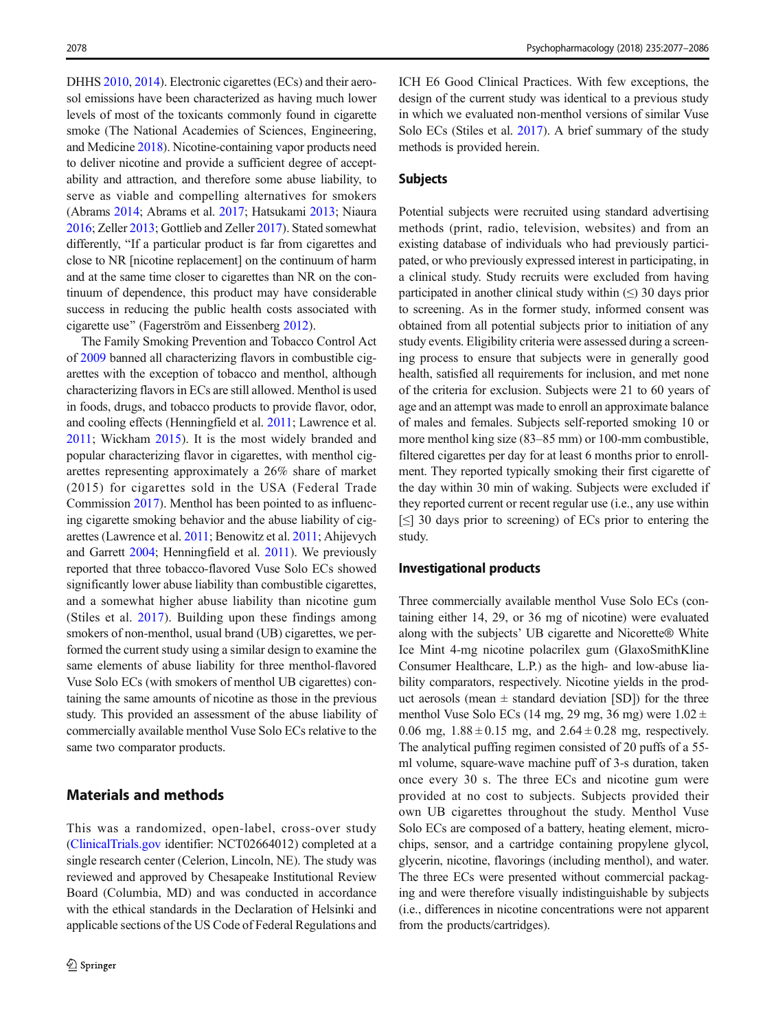DHHS [2010,](#page-9-0) [2014\)](#page-9-0). Electronic cigarettes (ECs) and their aerosol emissions have been characterized as having much lower levels of most of the toxicants commonly found in cigarette smoke (The National Academies of Sciences, Engineering, and Medicine [2018](#page-9-0)). Nicotine-containing vapor products need to deliver nicotine and provide a sufficient degree of acceptability and attraction, and therefore some abuse liability, to serve as viable and compelling alternatives for smokers (Abrams [2014](#page-8-0); Abrams et al. [2017;](#page-8-0) Hatsukami [2013](#page-9-0); Niaura [2016](#page-9-0); Zeller [2013;](#page-9-0) Gottlieb and Zeller [2017\)](#page-9-0). Stated somewhat differently, "If a particular product is far from cigarettes and close to NR [nicotine replacement] on the continuum of harm and at the same time closer to cigarettes than NR on the continuum of dependence, this product may have considerable success in reducing the public health costs associated with cigarette use^ (Fagerström and Eissenberg [2012\)](#page-9-0).

The Family Smoking Prevention and Tobacco Control Act of [2009](#page-9-0) banned all characterizing flavors in combustible cigarettes with the exception of tobacco and menthol, although characterizing flavors in ECs are still allowed. Menthol is used in foods, drugs, and tobacco products to provide flavor, odor, and cooling effects (Henningfield et al. [2011](#page-9-0); Lawrence et al. [2011;](#page-9-0) Wickham [2015](#page-9-0)). It is the most widely branded and popular characterizing flavor in cigarettes, with menthol cigarettes representing approximately a 26% share of market (2015) for cigarettes sold in the USA (Federal Trade Commission [2017](#page-9-0)). Menthol has been pointed to as influencing cigarette smoking behavior and the abuse liability of cigarettes (Lawrence et al. [2011;](#page-9-0) Benowitz et al. [2011](#page-8-0); Ahijevych and Garrett [2004;](#page-8-0) Henningfield et al. [2011\)](#page-9-0). We previously reported that three tobacco-flavored Vuse Solo ECs showed significantly lower abuse liability than combustible cigarettes, and a somewhat higher abuse liability than nicotine gum (Stiles et al. [2017](#page-9-0)). Building upon these findings among smokers of non-menthol, usual brand (UB) cigarettes, we performed the current study using a similar design to examine the same elements of abuse liability for three menthol-flavored Vuse Solo ECs (with smokers of menthol UB cigarettes) containing the same amounts of nicotine as those in the previous study. This provided an assessment of the abuse liability of commercially available menthol Vuse Solo ECs relative to the same two comparator products.

# Materials and methods

This was a randomized, open-label, cross-over study [\(ClinicalTrials.gov](http://clinicaltrials.gov) identifier: NCT02664012) completed at a single research center (Celerion, Lincoln, NE). The study was reviewed and approved by Chesapeake Institutional Review Board (Columbia, MD) and was conducted in accordance with the ethical standards in the Declaration of Helsinki and applicable sections of the US Code of Federal Regulations and

ICH E6 Good Clinical Practices. With few exceptions, the design of the current study was identical to a previous study in which we evaluated non-menthol versions of similar Vuse Solo ECs (Stiles et al. [2017\)](#page-9-0). A brief summary of the study methods is provided herein.

# Subjects

Potential subjects were recruited using standard advertising methods (print, radio, television, websites) and from an existing database of individuals who had previously participated, or who previously expressed interest in participating, in a clinical study. Study recruits were excluded from having participated in another clinical study within  $(\le)$  30 days prior to screening. As in the former study, informed consent was obtained from all potential subjects prior to initiation of any study events. Eligibility criteria were assessed during a screening process to ensure that subjects were in generally good health, satisfied all requirements for inclusion, and met none of the criteria for exclusion. Subjects were 21 to 60 years of age and an attempt was made to enroll an approximate balance of males and females. Subjects self-reported smoking 10 or more menthol king size (83–85 mm) or 100-mm combustible, filtered cigarettes per day for at least 6 months prior to enrollment. They reported typically smoking their first cigarette of the day within 30 min of waking. Subjects were excluded if they reported current or recent regular use (i.e., any use within [≤] 30 days prior to screening) of ECs prior to entering the study.

## Investigational products

Three commercially available menthol Vuse Solo ECs (containing either 14, 29, or 36 mg of nicotine) were evaluated along with the subjects' UB cigarette and Nicorette® White Ice Mint 4-mg nicotine polacrilex gum (GlaxoSmithKline Consumer Healthcare, L.P.) as the high- and low-abuse liability comparators, respectively. Nicotine yields in the product aerosols (mean  $\pm$  standard deviation [SD]) for the three menthol Vuse Solo ECs (14 mg, 29 mg, 36 mg) were  $1.02 \pm$ 0.06 mg,  $1.88 \pm 0.15$  mg, and  $2.64 \pm 0.28$  mg, respectively. The analytical puffing regimen consisted of 20 puffs of a 55 ml volume, square-wave machine puff of 3-s duration, taken once every 30 s. The three ECs and nicotine gum were provided at no cost to subjects. Subjects provided their own UB cigarettes throughout the study. Menthol Vuse Solo ECs are composed of a battery, heating element, microchips, sensor, and a cartridge containing propylene glycol, glycerin, nicotine, flavorings (including menthol), and water. The three ECs were presented without commercial packaging and were therefore visually indistinguishable by subjects (i.e., differences in nicotine concentrations were not apparent from the products/cartridges).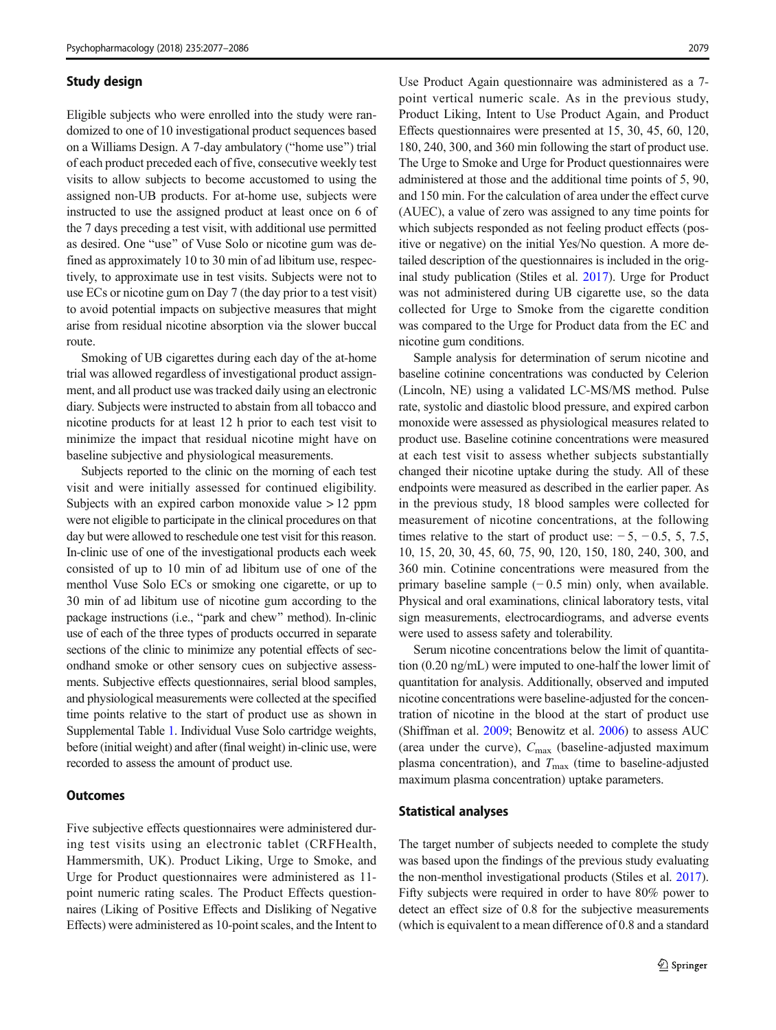#### Study design

Eligible subjects who were enrolled into the study were randomized to one of 10 investigational product sequences based on a Williams Design. A 7-day ambulatory ("home use") trial of each product preceded each of five, consecutive weekly test visits to allow subjects to become accustomed to using the assigned non-UB products. For at-home use, subjects were instructed to use the assigned product at least once on 6 of the 7 days preceding a test visit, with additional use permitted as desired. One "use" of Vuse Solo or nicotine gum was defined as approximately 10 to 30 min of ad libitum use, respectively, to approximate use in test visits. Subjects were not to use ECs or nicotine gum on Day 7 (the day prior to a test visit) to avoid potential impacts on subjective measures that might arise from residual nicotine absorption via the slower buccal route.

Smoking of UB cigarettes during each day of the at-home trial was allowed regardless of investigational product assignment, and all product use was tracked daily using an electronic diary. Subjects were instructed to abstain from all tobacco and nicotine products for at least 12 h prior to each test visit to minimize the impact that residual nicotine might have on baseline subjective and physiological measurements.

Subjects reported to the clinic on the morning of each test visit and were initially assessed for continued eligibility. Subjects with an expired carbon monoxide value  $> 12$  ppm were not eligible to participate in the clinical procedures on that day but were allowed to reschedule one test visit for this reason. In-clinic use of one of the investigational products each week consisted of up to 10 min of ad libitum use of one of the menthol Vuse Solo ECs or smoking one cigarette, or up to 30 min of ad libitum use of nicotine gum according to the package instructions (i.e., "park and chew" method). In-clinic use of each of the three types of products occurred in separate sections of the clinic to minimize any potential effects of secondhand smoke or other sensory cues on subjective assessments. Subjective effects questionnaires, serial blood samples, and physiological measurements were collected at the specified time points relative to the start of product use as shown in Supplemental Table 1. Individual Vuse Solo cartridge weights, before (initial weight) and after (final weight) in-clinic use, were recorded to assess the amount of product use.

#### **Outcomes**

Five subjective effects questionnaires were administered during test visits using an electronic tablet (CRFHealth, Hammersmith, UK). Product Liking, Urge to Smoke, and Urge for Product questionnaires were administered as 11 point numeric rating scales. The Product Effects questionnaires (Liking of Positive Effects and Disliking of Negative Effects) were administered as 10-point scales, and the Intent to

Use Product Again questionnaire was administered as a 7 point vertical numeric scale. As in the previous study, Product Liking, Intent to Use Product Again, and Product Effects questionnaires were presented at 15, 30, 45, 60, 120, 180, 240, 300, and 360 min following the start of product use. The Urge to Smoke and Urge for Product questionnaires were administered at those and the additional time points of 5, 90, and 150 min. For the calculation of area under the effect curve (AUEC), a value of zero was assigned to any time points for which subjects responded as not feeling product effects (positive or negative) on the initial Yes/No question. A more detailed description of the questionnaires is included in the original study publication (Stiles et al. [2017](#page-9-0)). Urge for Product was not administered during UB cigarette use, so the data collected for Urge to Smoke from the cigarette condition was compared to the Urge for Product data from the EC and nicotine gum conditions.

Sample analysis for determination of serum nicotine and baseline cotinine concentrations was conducted by Celerion (Lincoln, NE) using a validated LC-MS/MS method. Pulse rate, systolic and diastolic blood pressure, and expired carbon monoxide were assessed as physiological measures related to product use. Baseline cotinine concentrations were measured at each test visit to assess whether subjects substantially changed their nicotine uptake during the study. All of these endpoints were measured as described in the earlier paper. As in the previous study, 18 blood samples were collected for measurement of nicotine concentrations, at the following times relative to the start of product use:  $-5$ ,  $-0.5$ ,  $5$ ,  $7.5$ , 10, 15, 20, 30, 45, 60, 75, 90, 120, 150, 180, 240, 300, and 360 min. Cotinine concentrations were measured from the primary baseline sample  $(-0.5 \text{ min})$  only, when available. Physical and oral examinations, clinical laboratory tests, vital sign measurements, electrocardiograms, and adverse events were used to assess safety and tolerability.

Serum nicotine concentrations below the limit of quantitation (0.20 ng/mL) were imputed to one-half the lower limit of quantitation for analysis. Additionally, observed and imputed nicotine concentrations were baseline-adjusted for the concentration of nicotine in the blood at the start of product use (Shiffman et al. [2009;](#page-9-0) Benowitz et al. [2006](#page-8-0)) to assess AUC (area under the curve),  $C_{\text{max}}$  (baseline-adjusted maximum plasma concentration), and  $T_{\text{max}}$  (time to baseline-adjusted maximum plasma concentration) uptake parameters.

# Statistical analyses

The target number of subjects needed to complete the study was based upon the findings of the previous study evaluating the non-menthol investigational products (Stiles et al. [2017\)](#page-9-0). Fifty subjects were required in order to have 80% power to detect an effect size of 0.8 for the subjective measurements (which is equivalent to a mean difference of 0.8 and a standard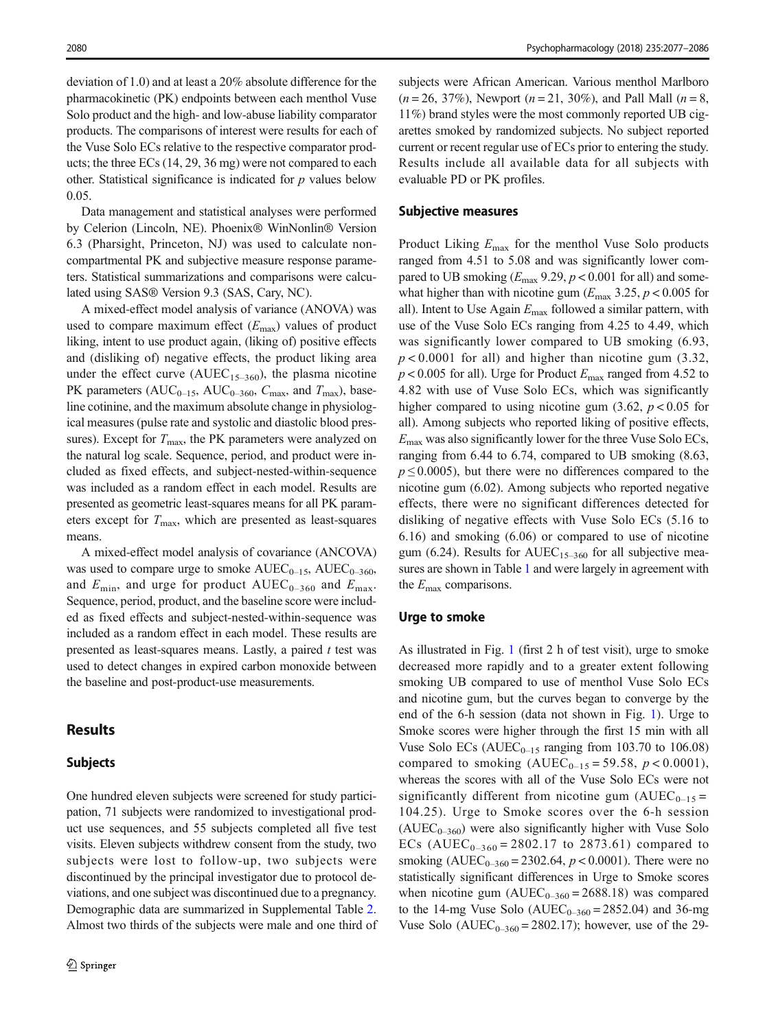deviation of 1.0) and at least a 20% absolute difference for the pharmacokinetic (PK) endpoints between each menthol Vuse Solo product and the high- and low-abuse liability comparator products. The comparisons of interest were results for each of the Vuse Solo ECs relative to the respective comparator products; the three ECs (14, 29, 36 mg) were not compared to each other. Statistical significance is indicated for  $p$  values below 0.05.

Data management and statistical analyses were performed by Celerion (Lincoln, NE). Phoenix® WinNonlin® Version 6.3 (Pharsight, Princeton, NJ) was used to calculate noncompartmental PK and subjective measure response parameters. Statistical summarizations and comparisons were calculated using SAS® Version 9.3 (SAS, Cary, NC).

A mixed-effect model analysis of variance (ANOVA) was used to compare maximum effect  $(E_{\text{max}})$  values of product liking, intent to use product again, (liking of) positive effects and (disliking of) negative effects, the product liking area under the effect curve ( $AUEC_{15-360}$ ), the plasma nicotine PK parameters ( $AUC_{0-15}$ ,  $AUC_{0-360}$ ,  $C_{\text{max}}$ , and  $T_{\text{max}}$ ), baseline cotinine, and the maximum absolute change in physiological measures (pulse rate and systolic and diastolic blood pressures). Except for  $T_{\text{max}}$ , the PK parameters were analyzed on the natural log scale. Sequence, period, and product were included as fixed effects, and subject-nested-within-sequence was included as a random effect in each model. Results are presented as geometric least-squares means for all PK parameters except for  $T_{\text{max}}$ , which are presented as least-squares means.

A mixed-effect model analysis of covariance (ANCOVA) was used to compare urge to smoke  $AUEC_{0-15}$ ,  $AUEC_{0-360}$ , and  $E_{\text{min}}$ , and urge for product  $\text{AUEC}_{0-360}$  and  $E_{\text{max}}$ . Sequence, period, product, and the baseline score were included as fixed effects and subject-nested-within-sequence was included as a random effect in each model. These results are presented as least-squares means. Lastly, a paired  $t$  test was used to detect changes in expired carbon monoxide between the baseline and post-product-use measurements.

## Results

#### Subjects

One hundred eleven subjects were screened for study participation, 71 subjects were randomized to investigational product use sequences, and 55 subjects completed all five test visits. Eleven subjects withdrew consent from the study, two subjects were lost to follow-up, two subjects were discontinued by the principal investigator due to protocol deviations, and one subject was discontinued due to a pregnancy. Demographic data are summarized in Supplemental Table 2. Almost two thirds of the subjects were male and one third of subjects were African American. Various menthol Marlboro  $(n = 26, 37\%)$ , Newport  $(n = 21, 30\%)$ , and Pall Mall  $(n = 8, 1)$ 11%) brand styles were the most commonly reported UB cigarettes smoked by randomized subjects. No subject reported current or recent regular use of ECs prior to entering the study. Results include all available data for all subjects with evaluable PD or PK profiles.

## Subjective measures

Product Liking  $E_{\text{max}}$  for the menthol Vuse Solo products ranged from 4.51 to 5.08 and was significantly lower compared to UB smoking  $(E_{\text{max}} 9.29, p < 0.001$  for all) and somewhat higher than with nicotine gum ( $E_{\text{max}}$  3.25,  $p < 0.005$  for all). Intent to Use Again  $E_{\text{max}}$  followed a similar pattern, with use of the Vuse Solo ECs ranging from 4.25 to 4.49, which was significantly lower compared to UB smoking  $(6.93,$  $p < 0.0001$  for all) and higher than nicotine gum (3.32,  $p < 0.005$  for all). Urge for Product  $E_{\text{max}}$  ranged from 4.52 to 4.82 with use of Vuse Solo ECs, which was significantly higher compared to using nicotine gum  $(3.62, p < 0.05$  for all). Among subjects who reported liking of positive effects,  $E_{\text{max}}$  was also significantly lower for the three Vuse Solo ECs, ranging from 6.44 to 6.74, compared to UB smoking (8.63,  $p \le 0.0005$ , but there were no differences compared to the nicotine gum (6.02). Among subjects who reported negative effects, there were no significant differences detected for disliking of negative effects with Vuse Solo ECs (5.16 to 6.16) and smoking (6.06) or compared to use of nicotine gum (6.24). Results for  $AUEC_{15-360}$  for all subjective measures are shown in Table [1](#page-4-0) and were largely in agreement with the  $E_{\text{max}}$  comparisons.

#### Urge to smoke

As illustrated in Fig. [1](#page-4-0) (first 2 h of test visit), urge to smoke decreased more rapidly and to a greater extent following smoking UB compared to use of menthol Vuse Solo ECs and nicotine gum, but the curves began to converge by the end of the 6-h session (data not shown in Fig. [1](#page-4-0)). Urge to Smoke scores were higher through the first 15 min with all Vuse Solo ECs ( $AUEC<sub>0-15</sub>$  ranging from 103.70 to 106.08) compared to smoking  $(AUEC_{0-15} = 59.58, p < 0.0001)$ , whereas the scores with all of the Vuse Solo ECs were not significantly different from nicotine gum  $(AUEC<sub>0-15</sub> =$ 104.25). Urge to Smoke scores over the 6-h session  $(AUEC<sub>0–360</sub>)$  were also significantly higher with Vuse Solo ECs (AUEC<sub>0-360</sub> = 2802.17 to 2873.61) compared to smoking (AUEC<sub>0–360</sub> = 2302.64,  $p < 0.0001$ ). There were no statistically significant differences in Urge to Smoke scores when nicotine gum  $(AUEC_{0-360} = 2688.18)$  was compared to the 14-mg Vuse Solo ( $AUEC_{0-360} = 2852.04$ ) and 36-mg Vuse Solo ( $AUEC_{0-360} = 2802.17$ ); however, use of the 29-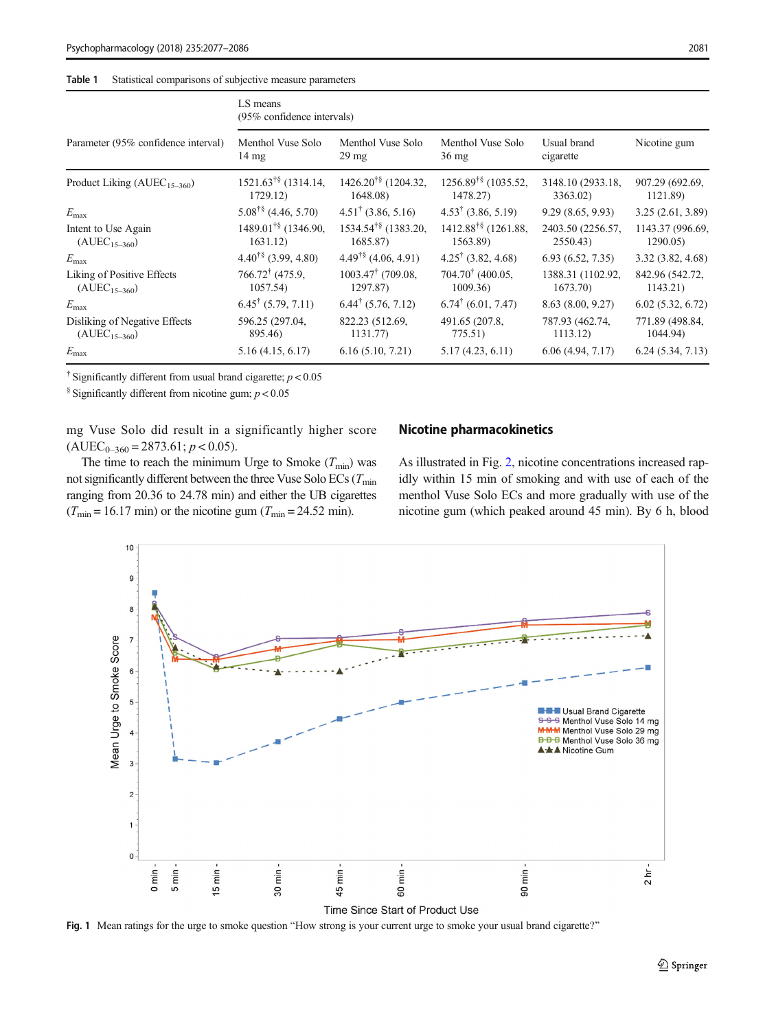# <span id="page-4-0"></span>Table 1 Statistical comparisons of subjective measure parameters

|                                                    | LS means<br>(95% confidence intervals)          |                                                                 |                                             |                               |                              |
|----------------------------------------------------|-------------------------------------------------|-----------------------------------------------------------------|---------------------------------------------|-------------------------------|------------------------------|
| Parameter (95% confidence interval)                | Menthol Vuse Solo<br>$14 \text{ mg}$            | Menthol Vuse Solo<br>$29 \text{ mg}$                            | Menthol Vuse Solo<br>$36 \text{ mg}$        | Usual brand<br>cigarette      | Nicotine gum                 |
| Product Liking $(AUEC_{15-360})$                   | $1521.63^{\dagger\delta}$ (1314.14,<br>1729.12) | 1426.20 <sup><math>\uparrow</math>§</sup> (1204.32,<br>1648.08) | 1256.89 <sup>†§</sup> (1035.52,<br>1478.27) | 3148.10 (2933.18,<br>3363.02) | 907.29 (692.69,<br>1121.89)  |
| $E_{\rm max}$                                      | $5.08^{\dagger\frac{5}{3}}$ (4.46, 5.70)        | $4.51^{\dagger}$ (3.86, 5.16)                                   | $4.53^{\dagger}$ (3.86, 5.19)               | 9.29(8.65, 9.93)              | 3.25 (2.61, 3.89)            |
| Intent to Use Again<br>$(AUEC_{15-360})$           | $1489.01^{\text{†}}\$ (1346.90,<br>1631.12)     | $1534.54^{\dagger\frac{8}{3}}$ (1383.20,<br>1685.87)            | 1412.88 <sup>†§</sup> (1261.88,<br>1563.89) | 2403.50 (2256.57,<br>2550.43) | 1143.37 (996.69,<br>1290.05) |
| $E_{\rm max}$                                      | $4.40^{\text{†}\$}$ (3.99, 4.80)                | $4.49^{\dagger\delta}$ (4.06, 4.91)                             | $4.25^{\dagger}$ (3.82, 4.68)               | 6.93(6.52, 7.35)              | 3.32 (3.82, 4.68)            |
| Liking of Positive Effects<br>$(AUEC_{15-360})$    | $766.72^{\dagger}$ (475.9,<br>1057.54           | $1003.47^{\dagger}$ (709.08,<br>1297.87)                        | $704.70^{\dagger}$ (400.05,<br>1009.36      | 1388.31 (1102.92,<br>1673.70) | 842.96 (542.72,<br>1143.21)  |
| $E_{\rm max}$                                      | $6.45^{\dagger}$ (5.79, 7.11)                   | $6.44^{\dagger}$ (5.76, 7.12)                                   | $6.74^{\dagger}$ (6.01, 7.47)               | 8.63(8.00, 9.27)              | 6.02(5.32, 6.72)             |
| Disliking of Negative Effects<br>$(AUEC_{15-360})$ | 596.25 (297.04,<br>895.46)                      | 822.23 (512.69,<br>1131.77)                                     | 491.65 (207.8,<br>775.51)                   | 787.93 (462.74,<br>1113.12    | 771.89 (498.84,<br>1044.94)  |
| $E_{\rm max}$                                      | 5.16(4.15, 6.17)                                | 6.16(5.10, 7.21)                                                | 5.17(4.23, 6.11)                            | 6.06(4.94, 7.17)              | 6.24(5.34, 7.13)             |

<sup>†</sup> Significantly different from usual brand cigarette;  $p < 0.05$ 

 $\frac{8}{9}$  Significantly different from nicotine gum;  $p < 0.05$ 

mg Vuse Solo did result in a significantly higher score  $(AUEC<sub>0-360</sub> = 2873.61; p < 0.05).$ 

The time to reach the minimum Urge to Smoke  $(T_{\text{min}})$  was not significantly different between the three Vuse Solo ECs ( $T_{\text{min}}$ ) ranging from 20.36 to 24.78 min) and either the UB cigarettes  $(T_{\text{min}} = 16.17 \text{ min})$  or the nicotine gum  $(T_{\text{min}} = 24.52 \text{ min})$ .

# Nicotine pharmacokinetics

As illustrated in Fig. [2,](#page-5-0) nicotine concentrations increased rapidly within 15 min of smoking and with use of each of the menthol Vuse Solo ECs and more gradually with use of the nicotine gum (which peaked around 45 min). By 6 h, blood



Fig. 1 Mean ratings for the urge to smoke question "How strong is your current urge to smoke your usual brand cigarette?"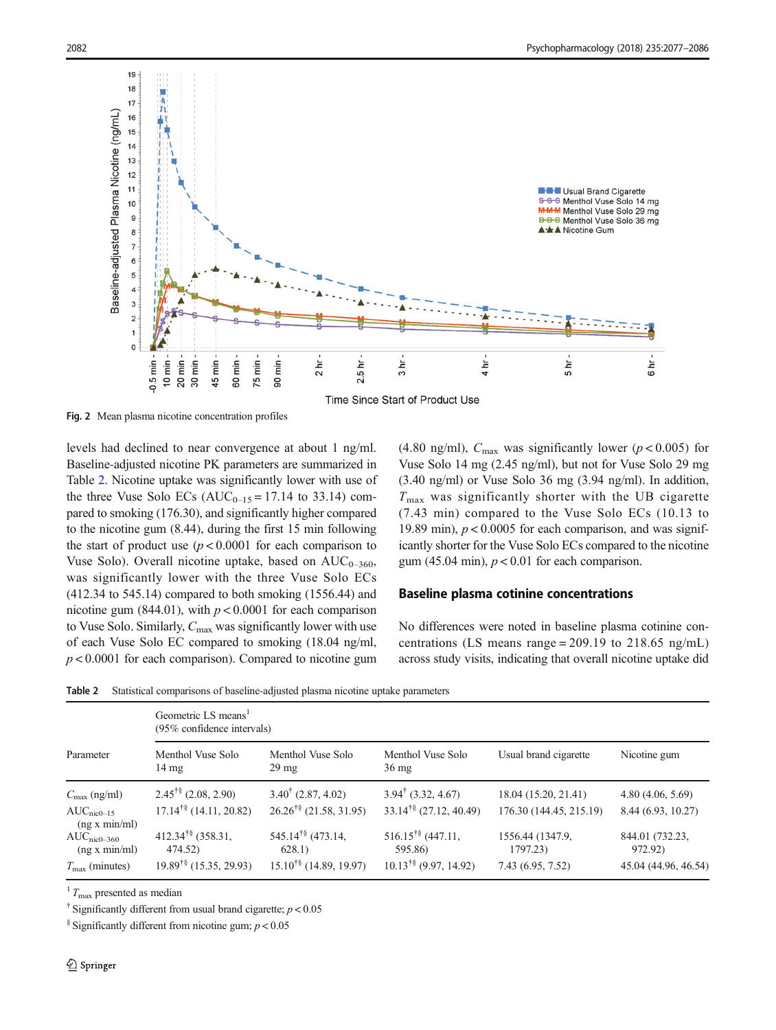<span id="page-5-0"></span>

Fig. 2 Mean plasma nicotine concentration profiles

levels had declined to near convergence at about 1 ng/ml. Baseline-adjusted nicotine PK parameters are summarized in Table 2. Nicotine uptake was significantly lower with use of the three Vuse Solo ECs ( $AUC_{0-15} = 17.14$  to 33.14) compared to smoking (176.30), and significantly higher compared to the nicotine gum (8.44), during the first 15 min following the start of product use  $(p < 0.0001$  for each comparison to Vuse Solo). Overall nicotine uptake, based on  $AUC_{0-360}$ , was significantly lower with the three Vuse Solo ECs (412.34 to 545.14) compared to both smoking (1556.44) and nicotine gum (844.01), with  $p < 0.0001$  for each comparison to Vuse Solo. Similarly,  $C_{\text{max}}$  was significantly lower with use of each Vuse Solo EC compared to smoking (18.04 ng/ml,  $p < 0.0001$  for each comparison). Compared to nicotine gum (4.80 ng/ml),  $C_{\text{max}}$  was significantly lower ( $p < 0.005$ ) for Vuse Solo 14 mg (2.45 ng/ml), but not for Vuse Solo 29 mg (3.40 ng/ml) or Vuse Solo 36 mg (3.94 ng/ml). In addition,  $T_{\text{max}}$  was significantly shorter with the UB cigarette (7.43 min) compared to the Vuse Solo ECs (10.13 to 19.89 min),  $p < 0.0005$  for each comparison, and was significantly shorter for the Vuse Solo ECs compared to the nicotine gum (45.04 min),  $p < 0.01$  for each comparison.

#### Baseline plasma cotinine concentrations

No differences were noted in baseline plasma cotinine concentrations (LS means range =  $209.19$  to  $218.65$  ng/mL) across study visits, indicating that overall nicotine uptake did

Table 2 Statistical comparisons of baseline-adjusted plasma nicotine uptake parameters

|                                | Geometric LS means <sup>1</sup><br>$(95\%$ confidence intervals) |                                             |                                              |                              |                            |
|--------------------------------|------------------------------------------------------------------|---------------------------------------------|----------------------------------------------|------------------------------|----------------------------|
| Parameter                      | Menthol Vuse Solo<br>$14 \text{ mg}$                             | Menthol Vuse Solo<br>$29 \text{ mg}$        | Menthol Vuse Solo<br>$36 \text{ mg}$         | Usual brand cigarette        | Nicotine gum               |
| $C_{\text{max}}$ (ng/ml)       | $2.45^{\dagger\frac{5}{3}}$ (2.08, 2.90)                         | $3.40^{\dagger}$ (2.87, 4.02)               | $3.94^{\dagger}$ (3.32, 4.67)                | 18.04 (15.20, 21.41)         | 4.80(4.06, 5.69)           |
| $AUCnic0-15$<br>(ng x min/ml)  | $17.14^{\dagger\frac{5}{3}}$ (14.11, 20.82)                      | $26.26^{\dagger\frac{5}{3}}$ (21.58, 31.95) | $33.14^{\dagger\delta}$ (27.12, 40.49)       | 176.30 (144.45, 215.19)      | 8.44 (6.93, 10.27)         |
| $AUCnic0-360$<br>(ng x min/ml) | $412.34^{\dagger\delta}$ (358.31,<br>474.52)                     | 545.14 <sup>†§</sup> (473.14,<br>628.1)     | $516.15^{\dagger\delta}$ (447.11,<br>595.86) | 1556.44 (1347.9,<br>1797.23) | 844.01 (732.23,<br>972.92) |
| $T_{\text{max}}$ (minutes)     | $19.89^{\text{†}\$}$ (15.35, 29.93)                              | $15.10^{18}$ (14.89, 19.97)                 | $10.13^{\dagger\delta}$ (9.97, 14.92)        | 7.43 (6.95, 7.52)            | 45.04 (44.96, 46.54)       |

<sup>1</sup>  $T_{\text{max}}$  presented as median

<sup>†</sup> Significantly different from usual brand cigarette;  $p < 0.05$ 

 $\frac{1}{2}$  Significantly different from nicotine gum;  $p < 0.05$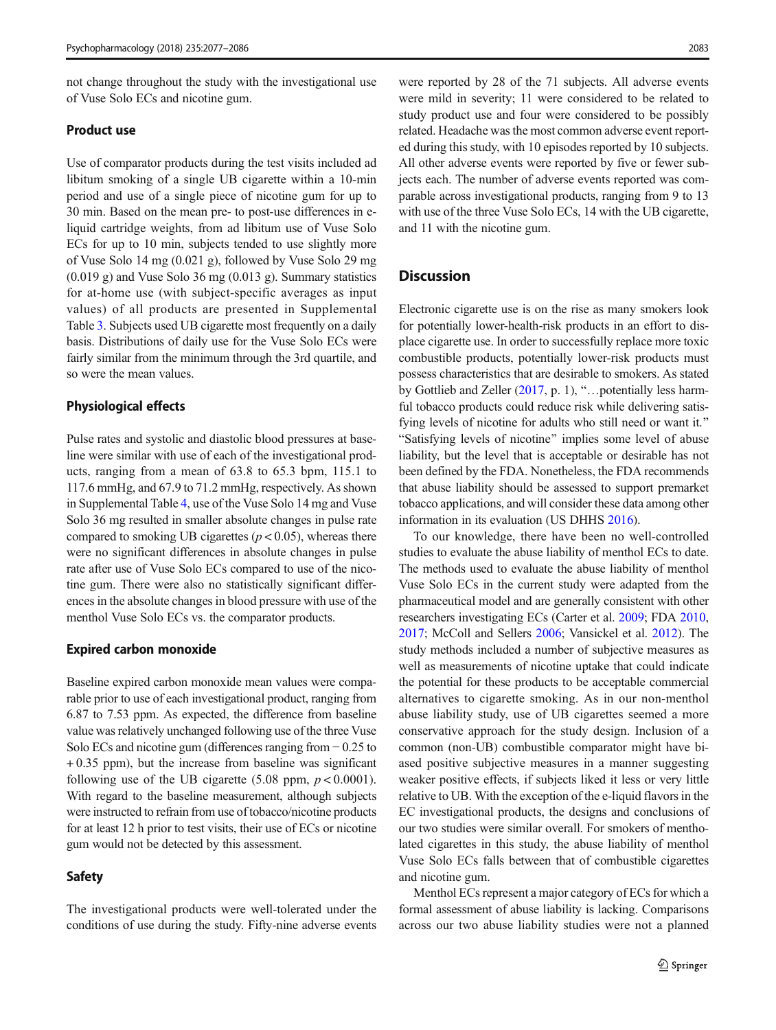not change throughout the study with the investigational use of Vuse Solo ECs and nicotine gum.

## Product use

Use of comparator products during the test visits included ad libitum smoking of a single UB cigarette within a 10-min period and use of a single piece of nicotine gum for up to 30 min. Based on the mean pre- to post-use differences in eliquid cartridge weights, from ad libitum use of Vuse Solo ECs for up to 10 min, subjects tended to use slightly more of Vuse Solo 14 mg (0.021 g), followed by Vuse Solo 29 mg (0.019 g) and Vuse Solo 36 mg (0.013 g). Summary statistics for at-home use (with subject-specific averages as input values) of all products are presented in Supplemental Table 3. Subjects used UB cigarette most frequently on a daily basis. Distributions of daily use for the Vuse Solo ECs were fairly similar from the minimum through the 3rd quartile, and so were the mean values.

## Physiological effects

Pulse rates and systolic and diastolic blood pressures at baseline were similar with use of each of the investigational products, ranging from a mean of 63.8 to 65.3 bpm, 115.1 to 117.6 mmHg, and 67.9 to 71.2 mmHg, respectively. As shown in Supplemental Table 4, use of the Vuse Solo 14 mg and Vuse Solo 36 mg resulted in smaller absolute changes in pulse rate compared to smoking UB cigarettes  $(p < 0.05)$ , whereas there were no significant differences in absolute changes in pulse rate after use of Vuse Solo ECs compared to use of the nicotine gum. There were also no statistically significant differences in the absolute changes in blood pressure with use of the menthol Vuse Solo ECs vs. the comparator products.

#### Expired carbon monoxide

Baseline expired carbon monoxide mean values were comparable prior to use of each investigational product, ranging from 6.87 to 7.53 ppm. As expected, the difference from baseline value was relatively unchanged following use of the three Vuse Solo ECs and nicotine gum (differences ranging from − 0.25 to + 0.35 ppm), but the increase from baseline was significant following use of the UB cigarette (5.08 ppm,  $p < 0.0001$ ). With regard to the baseline measurement, although subjects were instructed to refrain from use of tobacco/nicotine products for at least 12 h prior to test visits, their use of ECs or nicotine gum would not be detected by this assessment.

# Safety

The investigational products were well-tolerated under the conditions of use during the study. Fifty-nine adverse events

were reported by 28 of the 71 subjects. All adverse events were mild in severity; 11 were considered to be related to study product use and four were considered to be possibly related. Headache was the most common adverse event reported during this study, with 10 episodes reported by 10 subjects. All other adverse events were reported by five or fewer subjects each. The number of adverse events reported was comparable across investigational products, ranging from 9 to 13 with use of the three Vuse Solo ECs, 14 with the UB cigarette, and 11 with the nicotine gum.

# **Discussion**

Electronic cigarette use is on the rise as many smokers look for potentially lower-health-risk products in an effort to displace cigarette use. In order to successfully replace more toxic combustible products, potentially lower-risk products must possess characteristics that are desirable to smokers. As stated by Gottlieb and Zeller  $(2017, p. 1)$  $(2017, p. 1)$ , "...potentially less harmful tobacco products could reduce risk while delivering satisfying levels of nicotine for adults who still need or want it." "Satisfying levels of nicotine" implies some level of abuse liability, but the level that is acceptable or desirable has not been defined by the FDA. Nonetheless, the FDA recommends that abuse liability should be assessed to support premarket tobacco applications, and will consider these data among other information in its evaluation (US DHHS [2016](#page-9-0)).

To our knowledge, there have been no well-controlled studies to evaluate the abuse liability of menthol ECs to date. The methods used to evaluate the abuse liability of menthol Vuse Solo ECs in the current study were adapted from the pharmaceutical model and are generally consistent with other researchers investigating ECs (Carter et al. [2009;](#page-9-0) FDA [2010,](#page-9-0) [2017;](#page-9-0) McColl and Sellers [2006;](#page-9-0) Vansickel et al. [2012](#page-9-0)). The study methods included a number of subjective measures as well as measurements of nicotine uptake that could indicate the potential for these products to be acceptable commercial alternatives to cigarette smoking. As in our non-menthol abuse liability study, use of UB cigarettes seemed a more conservative approach for the study design. Inclusion of a common (non-UB) combustible comparator might have biased positive subjective measures in a manner suggesting weaker positive effects, if subjects liked it less or very little relative to UB. With the exception of the e-liquid flavors in the EC investigational products, the designs and conclusions of our two studies were similar overall. For smokers of mentholated cigarettes in this study, the abuse liability of menthol Vuse Solo ECs falls between that of combustible cigarettes and nicotine gum.

Menthol ECs represent a major category of ECs for which a formal assessment of abuse liability is lacking. Comparisons across our two abuse liability studies were not a planned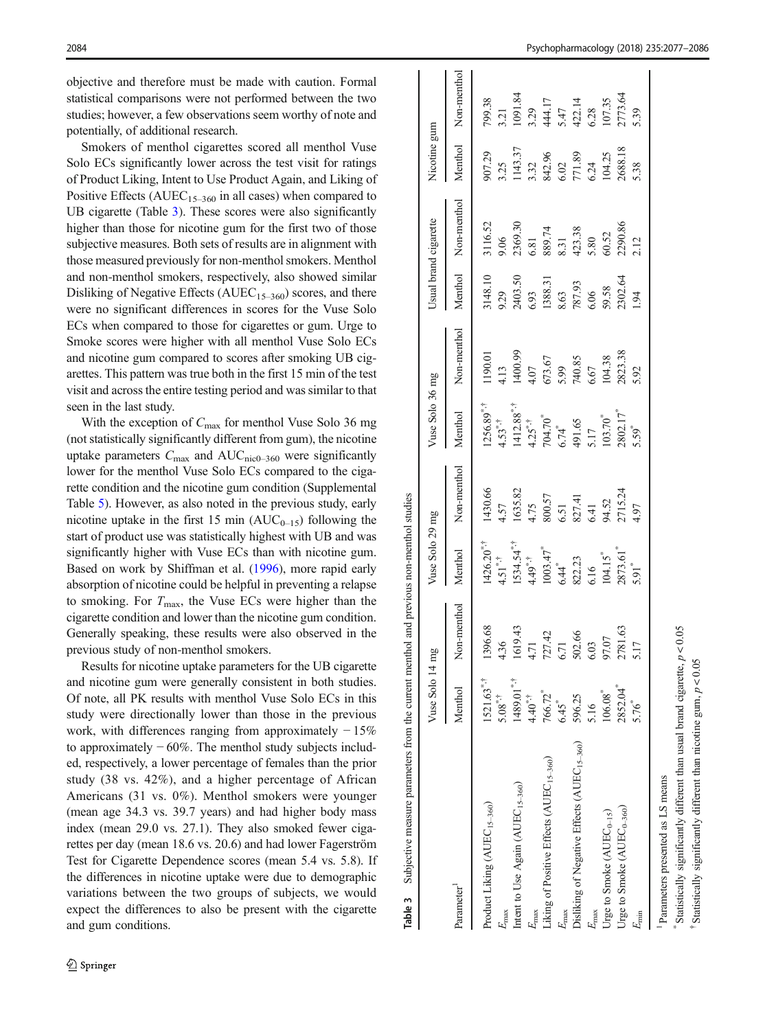objective and therefore must be made with caution. Formal statistical comparisons were not performed between the two studies; however, a few observations seem worthy of note and potentially, of additional research.

Smokers of menthol cigarettes scored all menthol Vuse Solo ECs significantly lower across the test visit for ratings of Product Liking, Intent to Use Product Again, and Liking of Positive Effects ( $AUEC_{15-360}$  in all cases) when compared to UB cigarette (Table 3). These scores were also significantly higher than those for nicotine gum for the first two of those subjective measures. Both sets of results are in alignment with those measured previously for non-menthol smokers. Menthol and non-menthol smokers, respectively, also showed similar Disliking of Negative Effects ( $AUEC_{15-360}$ ) scores, and there were no significant differences in scores for the Vuse Solo ECs when compared to those for cigarettes or gum. Urge to Smoke scores were higher with all menthol Vuse Solo ECs and nicotine gum compared to scores after smoking UB cigarettes. This pattern was true both in the first 15 min of the test visit and across the entire testing period and was similar to that seen in the last study.

With the exception of  $C_{\text{max}}$  for menthol Vuse Solo 36 mg (not statistically significantly different from gum), the nicotine uptake parameters  $C_{\text{max}}$  and  $\text{AUC}_{\text{nic0}-360}$  were significantly lower for the menthol Vuse Solo ECs compared to the cigarette condition and the nicotine gum condition (Supplemental Table 5). However, as also noted in the previous study, early nicotine uptake in the first 15 min  $(AUC_{0-15})$  following the start of product use was statistically highest with UB and was significantly higher with Vuse ECs than with nicotine gum. Based on work by Shiffman et al. [\(1996\)](#page-9-0), more rapid early absorption of nicotine could be helpful in preventing a relapse to smoking. For  $T_{\text{max}}$ , the Vuse ECs were higher than the cigarette condition and lower than the nicotine gum condition. Generally speaking, these results were also observed in the previous study of non-menthol smokers.

Results for nicotine uptake parameters for the UB cigarette and nicotine gum were generally consistent in both studies. Of note, all PK results with menthol Vuse Solo ECs in this study were directionally lower than those in the previous work, with differences ranging from approximately  $-15\%$ to approximately − 60%. The menthol study subjects included, respectively, a lower percentage of females than the prior study (38 vs. 42%), and a higher percentage of African Americans (31 vs. 0%). Menthol smokers were younger (mean age 34.3 vs. 39.7 years) and had higher body mass index (mean 29.0 vs. 27.1). They also smoked fewer cigarettes per day (mean 18.6 vs. 20.6) and had lower Fagerström Test for Cigarette Dependence scores (mean 5.4 vs. 5.8). If the differences in nicotine uptake were due to demographic variations between the two groups of subjects, we would expect the differences to also be present with the cigarette and gum conditions.

| Table 3 Subjective measure parameters from the current menthol and previous non-menthol studies |                          |                                             |                                                                                                         |                                                     |                                                                                                             |                                                    |                                                                  |                                                               |                                            |                                                                    |
|-------------------------------------------------------------------------------------------------|--------------------------|---------------------------------------------|---------------------------------------------------------------------------------------------------------|-----------------------------------------------------|-------------------------------------------------------------------------------------------------------------|----------------------------------------------------|------------------------------------------------------------------|---------------------------------------------------------------|--------------------------------------------|--------------------------------------------------------------------|
|                                                                                                 | Vuse Solo 14 mg          |                                             | Vuse Solo 29 mg                                                                                         |                                                     | Vuse Solo 36 mg                                                                                             |                                                    |                                                                  | Usual brand cigarette                                         | Nicotine gum                               |                                                                    |
| Parameter <sup>1</sup>                                                                          | Menthol                  | Non-menthol                                 | Menthol                                                                                                 | Non-menthol                                         | Menthol                                                                                                     | Non-menthol                                        | Menthol                                                          | Non-menthol                                                   | Menthol                                    | Non-menthol                                                        |
| Product Liking (AUEC <sub>15-360</sub> )                                                        | $1521.63**$              | 396.68                                      | $1426.20$ *,†                                                                                           | 1430.66                                             | $1256.89**$                                                                                                 | 1190.01                                            | 3148.10                                                          | 3116.52                                                       | 907.29                                     | 799.38                                                             |
| $E_{\max}$                                                                                      | $5.08^{*+}$              | 36                                          | $4.51**$                                                                                                | 1.57                                                | $4.53***$                                                                                                   | 4.13                                               | 9.29                                                             | 90 <sub>6</sub>                                               | 3.25                                       |                                                                    |
| Intent to Use Again (AUEC <sub>15-360</sub> )                                                   | $1489.01$ * <sup>*</sup> |                                             |                                                                                                         | 1635.82                                             |                                                                                                             |                                                    | 2403.50                                                          | 2369.30                                                       | 1143.37                                    |                                                                    |
| $L_{\max}$                                                                                      | $4.40**$                 |                                             |                                                                                                         |                                                     |                                                                                                             |                                                    | 6.93                                                             |                                                               |                                            |                                                                    |
| Liking of Positive Effects (AUEC <sub>15-360</sub> )                                            | 766.72*                  | 1619.43<br>1.71<br>727.42<br>5.71<br>502.66 | $1534.54^{*}$<br>$4.49^{*}$<br>$1003.47^{*}$<br>$1003.47^{*}$<br>$6.44^{*}$<br>$61.5^{*}$<br>$61.5^{*}$ | $4.75$<br>800.57<br>6.51<br>827.41<br>6.41<br>94.52 | 1412.88 <sup>*,†</sup><br>4.25 <sup>*,†</sup><br>704.70 <sup>*</sup><br>6.74 <sup>*</sup><br>491.65<br>5.17 | 1400.99<br>4.07<br>673.67<br>5.99<br>5.085<br>6.67 | $\begin{array}{r} 1388.31 \\ 8.63 \\ 787.93 \\ 6.06 \end{array}$ | $6.81$<br>$889.74$<br>$8.31$<br>$423.38$<br>$5.80$<br>$60.52$ | $3.32\n842.96\n6.02\n771.89\n6.24\n104.25$ | 3.21<br>1091.84<br>13.29<br>444.17<br>5.47<br>5.28<br>6.28<br>6.28 |
| $L_{\max}$                                                                                      | $6.45*$                  |                                             |                                                                                                         |                                                     |                                                                                                             |                                                    |                                                                  |                                                               |                                            |                                                                    |
| Disliking of Negative Effects (AUEC <sub>15-360</sub> )                                         | 596.25                   |                                             |                                                                                                         |                                                     |                                                                                                             |                                                    |                                                                  |                                                               |                                            |                                                                    |
| $L_{\rm max}$                                                                                   | 5.16                     | .03                                         |                                                                                                         |                                                     |                                                                                                             |                                                    |                                                                  |                                                               |                                            |                                                                    |
| Urge to Smoke $(AUEC_{0-15})$                                                                   | $106.08$ <sup>*</sup>    | <b>7.07</b>                                 |                                                                                                         |                                                     | $103.70*$                                                                                                   | 104.38                                             | 59.58                                                            |                                                               |                                            |                                                                    |
| Urge to Smoke (AUEC <sub>0-360</sub> )                                                          | 2852.04*                 | 2781.63                                     | 2873.61                                                                                                 | 2715.24                                             | 2802.17                                                                                                     | 2823.38                                            | 2302.64                                                          | 2290.86                                                       | 2688.18                                    | 2773.64<br>5.39                                                    |
| $E_{\min}$                                                                                      | 5.76"                    | $\overline{17}$                             | 5.91*                                                                                                   | 1.97                                                | 5.59*                                                                                                       | 5.92                                               | 1.94                                                             | 2.12                                                          | 5.38                                       |                                                                    |
| Parameters presented as LS means                                                                |                          |                                             |                                                                                                         |                                                     |                                                                                                             |                                                    |                                                                  |                                                               |                                            |                                                                    |

\*

†

 Statistically significantly different than usual brand cigarette, Statistically significantly different than usual brand cigarette,  $p < 0.05$ 

 Statistically significantly different than nicotine gum, Statistically significantly different than nicotine gum,  $p < 0.05$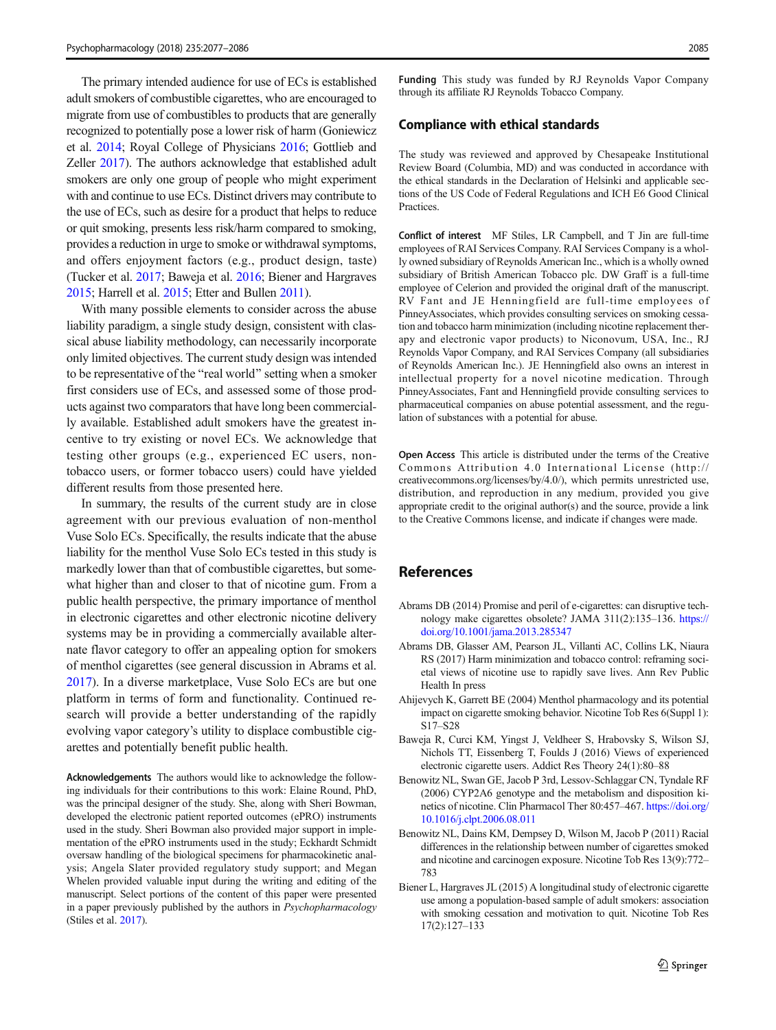<span id="page-8-0"></span>The primary intended audience for use of ECs is established adult smokers of combustible cigarettes, who are encouraged to migrate from use of combustibles to products that are generally recognized to potentially pose a lower risk of harm (Goniewicz et al. [2014](#page-9-0); Royal College of Physicians [2016](#page-9-0); Gottlieb and Zeller [2017\)](#page-9-0). The authors acknowledge that established adult smokers are only one group of people who might experiment with and continue to use ECs. Distinct drivers may contribute to the use of ECs, such as desire for a product that helps to reduce or quit smoking, presents less risk/harm compared to smoking, provides a reduction in urge to smoke or withdrawal symptoms, and offers enjoyment factors (e.g., product design, taste) (Tucker et al. [2017;](#page-9-0) Baweja et al. 2016; Biener and Hargraves 2015; Harrell et al. [2015;](#page-9-0) Etter and Bullen [2011\)](#page-9-0).

With many possible elements to consider across the abuse liability paradigm, a single study design, consistent with classical abuse liability methodology, can necessarily incorporate only limited objectives. The current study design was intended to be representative of the "real world" setting when a smoker first considers use of ECs, and assessed some of those products against two comparators that have long been commercially available. Established adult smokers have the greatest incentive to try existing or novel ECs. We acknowledge that testing other groups (e.g., experienced EC users, nontobacco users, or former tobacco users) could have yielded different results from those presented here.

In summary, the results of the current study are in close agreement with our previous evaluation of non-menthol Vuse Solo ECs. Specifically, the results indicate that the abuse liability for the menthol Vuse Solo ECs tested in this study is markedly lower than that of combustible cigarettes, but somewhat higher than and closer to that of nicotine gum. From a public health perspective, the primary importance of menthol in electronic cigarettes and other electronic nicotine delivery systems may be in providing a commercially available alternate flavor category to offer an appealing option for smokers of menthol cigarettes (see general discussion in Abrams et al. 2017). In a diverse marketplace, Vuse Solo ECs are but one platform in terms of form and functionality. Continued research will provide a better understanding of the rapidly evolving vapor category's utility to displace combustible cigarettes and potentially benefit public health.

Acknowledgements The authors would like to acknowledge the following individuals for their contributions to this work: Elaine Round, PhD, was the principal designer of the study. She, along with Sheri Bowman, developed the electronic patient reported outcomes (ePRO) instruments used in the study. Sheri Bowman also provided major support in implementation of the ePRO instruments used in the study; Eckhardt Schmidt oversaw handling of the biological specimens for pharmacokinetic analysis; Angela Slater provided regulatory study support; and Megan Whelen provided valuable input during the writing and editing of the manuscript. Select portions of the content of this paper were presented in a paper previously published by the authors in Psychopharmacology (Stiles et al. [2017\)](#page-9-0).

Funding This study was funded by RJ Reynolds Vapor Company through its affiliate RJ Reynolds Tobacco Company.

## Compliance with ethical standards

The study was reviewed and approved by Chesapeake Institutional Review Board (Columbia, MD) and was conducted in accordance with the ethical standards in the Declaration of Helsinki and applicable sections of the US Code of Federal Regulations and ICH E6 Good Clinical Practices.

Conflict of interest MF Stiles, LR Campbell, and T Jin are full-time employees of RAI Services Company. RAI Services Company is a wholly owned subsidiary of Reynolds American Inc., which is a wholly owned subsidiary of British American Tobacco plc. DW Graff is a full-time employee of Celerion and provided the original draft of the manuscript. RV Fant and JE Henningfield are full-time employees of PinneyAssociates, which provides consulting services on smoking cessation and tobacco harm minimization (including nicotine replacement therapy and electronic vapor products) to Niconovum, USA, Inc., RJ Reynolds Vapor Company, and RAI Services Company (all subsidiaries of Reynolds American Inc.). JE Henningfield also owns an interest in intellectual property for a novel nicotine medication. Through PinneyAssociates, Fant and Henningfield provide consulting services to pharmaceutical companies on abuse potential assessment, and the regulation of substances with a potential for abuse.

Open Access This article is distributed under the terms of the Creative Commons Attribution 4.0 International License (http:// creativecommons.org/licenses/by/4.0/), which permits unrestricted use, distribution, and reproduction in any medium, provided you give appropriate credit to the original author(s) and the source, provide a link to the Creative Commons license, and indicate if changes were made.

# References

- Abrams DB (2014) Promise and peril of e-cigarettes: can disruptive technology make cigarettes obsolete? JAMA 311(2):135–136. [https://](https://doi.org/10.1001/jama.2013.285347) [doi.org/10.1001/jama.2013.285347](https://doi.org/10.1001/jama.2013.285347)
- Abrams DB, Glasser AM, Pearson JL, Villanti AC, Collins LK, Niaura RS (2017) Harm minimization and tobacco control: reframing societal views of nicotine use to rapidly save lives. Ann Rev Public Health In press
- Ahijevych K, Garrett BE (2004) Menthol pharmacology and its potential impact on cigarette smoking behavior. Nicotine Tob Res 6(Suppl 1): S17–S28
- Baweja R, Curci KM, Yingst J, Veldheer S, Hrabovsky S, Wilson SJ, Nichols TT, Eissenberg T, Foulds J (2016) Views of experienced electronic cigarette users. Addict Res Theory 24(1):80–88
- Benowitz NL, Swan GE, Jacob P 3rd, Lessov-Schlaggar CN, Tyndale RF (2006) CYP2A6 genotype and the metabolism and disposition kinetics of nicotine. Clin Pharmacol Ther 80:457–467. [https://doi.org/](https://doi.org/10.1016/j.clpt.2006.08.011) [10.1016/j.clpt.2006.08.011](https://doi.org/10.1016/j.clpt.2006.08.011)
- Benowitz NL, Dains KM, Dempsey D, Wilson M, Jacob P (2011) Racial differences in the relationship between number of cigarettes smoked and nicotine and carcinogen exposure. Nicotine Tob Res 13(9):772– 783
- Biener L, Hargraves JL (2015) A longitudinal study of electronic cigarette use among a population-based sample of adult smokers: association with smoking cessation and motivation to quit. Nicotine Tob Res 17(2):127–133